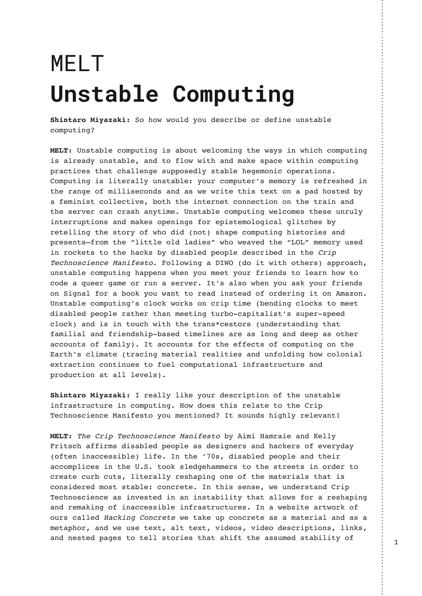## MELT **Unstable Computing**

**Shintaro Miyazaki:** So how would you describe or define unstable computing?

**MELT:** Unstable computing is about welcoming the ways in which computing is already unstable, and to flow with and make space within computing practices that challenge supposedly stable hegemonic operations. Computing is literally unstable: your computer's memory is refreshed in the range of milliseconds and as we write this text on a pad hosted by a feminist collective, both the internet connection on the train and the server can crash anytime. Unstable computing welcomes these unruly interruptions and makes openings for epistemological glitches by retelling the story of who did (not) shape computing histories and presents—from the "little old ladies" who weaved the "LOL" memory used in rockets to the hacks by disabled people described in the Crip Technoscience Manifesto. Following a DIWO (do it with others) approach, unstable computing happens when you meet your friends to learn how to code a queer game or run a server. It's also when you ask your friends on Signal for a book you want to read instead of ordering it on Amazon. Unstable computing's clock works on crip time (bending clocks to meet disabled people rather than meeting turbo-capitalist's super-speed clock) and is in touch with the trans\*cestors (understanding that familial and friendship-based timelines are as long and deep as other accounts of family). It accounts for the effects of computing on the Earth's climate (tracing material realities and unfolding how colonial extraction continues to fuel computational infrastructure and production at all levels).

**Shintaro Miyazaki:** I really like your description of the unstable infrastructure in computing. How does this relate to the Crip Technoscience Manifesto you mentioned? It sounds highly relevant!

**MELT:** The Crip Technoscience Manifesto by Aimi Hamraie and Kelly Fritsch affirms disabled people as designers and hackers of everyday (often inaccessible) life. In the '70s, disabled people and their accomplices in the U.S. took sledgehammers to the streets in order to create curb cuts, literally reshaping one of the materials that is considered most stable: concrete. In this sense, we understand Crip Technoscience as invested in an instability that allows for a reshaping and remaking of inaccessible infrastructures. In a website artwork of ours called Hacking Concrete we take up concrete as a material and as a metaphor, and we use text, alt text, videos, video descriptions, links, and nested pages to tell stories that shift the assumed stability of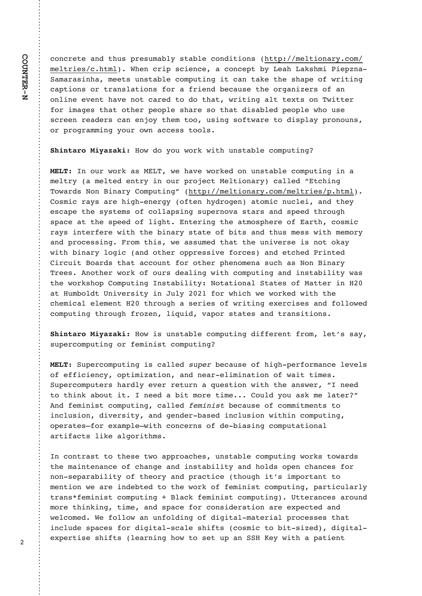$, 87,$ ;  $=$  \*7- =1>< 9; <>6\*+5B <=\*+5. , 87-2=287< 1==9 6.5=287\*; B, 86 6. 5=; 2. < ,  $1=65$  ) 1. 7 , ; 29 <, 2. 7, . \*, 87, . 9= +B . \* 1 \* 4<162 #2. 9C7\* % 6\*; \* <271\* 6. . =< >7<=\* +5. , 869>=270 2= , \*7 =\* 4. =1. <1\* 9. 8/ @ 2=270 , \*9=287< 8; =; \*7<5 \* = 287< / 8; \* /; 2.7- +., \* ><. = 1. 8; 0 \* 72C. ; < 8/ \*7 87527. . ?. 7= 1\*?. 78= , \*; . - =8 -8 =1\*= @ 2=270 \*5= =. A=< 87 & @ ==.; / 8;  $26*0 \le -1* = 8-1$ ; 9.895.  $\lt 1^*$ ;  $\lt 8 = 1^* = -2\lt^* + 5$ . 9.895. @ 8 >  $\lt$ . 8; 9; 80;  $*66270$  B8>; 8 $@7$   $*$ , , . << =885<

 $8@ - 8 B8 > @8; 4 @=1E > 7 <=^* + 5.$ , 869>=270

7 8>;  $\circledcircledast$ ; 4 \*<  $\circledast$  8  $\circledcirc$  1\*?.  $\circledcircledast$ ; 4. - 87 >7<=\* +5., 869>=270 27 \* 6. 5=; B  $*$  6. 5=  $-$  . 7=; B 27 8>; 9; 83.  $=$  . 5=287 $*$ ; B  $*$  55.  $-$  G = 1270  $88\textcircled{3}$ ; - < !87 27\*; B 869>=270H 1==9 6.5=287\*; B, 86 6.5=; 2. < 9 1=65 8<62,  $; *B < *;$  1201 . 7.; 0B 8/ = 7 1B -; 80. 7  $* = 862$ , 7>, 5. 2  $*7 - = 1$ . B  $3.5, 1.9$  =1.  $5.5, 1.9$  =1.  $5.5, 1.9$  =  $1.9$  =  $1.9$  =  $1.9$  =  $1.9$  =  $1.9$  =  $1.9$  =  $1.9$  =  $1.9$  =  $1.9$  =  $1.9$  =  $1.9$  =  $1.9$  =  $1.9$  =  $1.9$  =  $1.9$  =  $1.9$  =  $1.9$  =  $1.9$  =  $1.9$  =  $1.9$  =  $1.9$  =  $1.9$  =  $1$  $\langle 9^*, \, \rangle$  \* = =1.  $\langle 9, \, \cdot \rangle$  8/ 5201 = 7 = : 270 =1. \* =68  $\langle 91, \, \cdot \rangle$  8/ \*; =1, 8  $\langle 62, \, \cdot \rangle$ : \* B< 27= : / . :  $\mathbb{Q}$ =1 =1 +27\* : B <= \* = 8/ +2=< \* 7- =1>< 6 <<  $\mathbb{Q}$ =1 6 68 : B \*7- 9; 8, . <<270 ; 86 =12< @ \* <<>6. - =1\* = =1. >72?. ; <. 2< 78 = 84\* B  $@=1$  +27\*; B 5802, \*7- 8=1; 899; <<2?, /8; , < \*7- = 1.- #; 27= -2; , >2=  $8^*$ ; -< =1\* = \*, ,  $8$ >7= /8; 8=1.; 91.786.7\* <>, 1 \* < !87 27\*; B &; .. < 78=1.;  $\circledast$ ; 4 8/ 8>; < -. \*5270  $\circledast$ =1, 869>=270 \*7- 27<=\*+252=B  $\circledast$  <  $=1.$  @8: 4<189E 869>=270 7<=\* +252=B  $\,$ ! 8=\* =287\*5 %=\* =. < 8/ \* ==. : 27 \*=  $>6+85=$  '72?.; <2=B 27 > 5B / 8; @ 2, 1 @ @ ; 4. - @ = 1 = 1.  $, 1.62, *5.5.6.7 =$  = 1; 8>01  $*$  < ; 2. < 8/ @ 2=270 . A.; , 2< <  $*7 - 7.8558$  @ - $,869$  > = 270 = 1; 8 > 01 /; 8 C. 7 52: > 2 - ?\* 98; <=  $* = 5$ ,  $* = 7 - 1$ ;  $* = 7$  =  $* = 287$ 

8@ 2<E>7<=\* +5. , 869>=270E-2//.; . 7= /; 86 5. =J< <\* B  $\langle 59. ; 869 \rangle = 2708;$  / . 6272 $\langle 59. ; 869 \rangle = 270$ 

%9.;, 869>=270 2< , \*55. - E E+., \* ><. 8/ 1201 9.; / 8; 6\* 7, . 5. ?. 5< 8/ .//2, 2.7, B  $89=262C^*=287$  \*7-7. \*; .52627 \* = 287 8/  $\textcircled{2} = 26.$  <  $=8$  =1274  $*+8>=$  2= 7.  $*+2=$  68; =26. 8>5- B8>  $*<4$  6. 5 $*=$ ; H 7-  $/$ . 6272<= , 869>=270 , \*55. - E +., \* ><. 8/ , 8662=6. 7=< =8 27,  $5 > 287$  - 2? ;  $2 = B$  \*7- 0.7-;  $+2 < 27$ ,  $5 > 287$  @ = 127,  $869 > 270$ 89.;  $* = -5$ / 8;  $A* 695$ .  $F@=1$ , 87, .; 7< 8/ - .  $+2* 270$ , 869>= $* = 287* 5$ \*;  $=2/$ \*,  $=$ < 524. \*508; 2=16<

7, 87=;  $* \le 3$  = 1.  $\le 3$  = 4.  $\le 4$  =  $\circledast$   $*$  99; 8 $*$ , 1.  $\le 5$  > 7 $\le 3$  + 5. , 869> = 270  $\circledast$ ; 4 $\le 3$   $\circledast$ ;  $=1.$  6\*27=.7\*7, 8/, 1\*70. \*7- 27<=\* +252=B \*7- 185-< 89.7, 1\*7, .< /8; 787 <.  $9^*$ ;  $*+252=$ B 8/ =1.8; B  $*$  7- 9;  $*$ , =2, . =18>01 2=J < 2698; = $*$  7= =8 6.  $7=287$  @  $\degree$ : 27-.  $+=$ .  $=8$  =1. @ 3: 4 8/ / 6272 <= . 869 > = 270 9  $\degree$ :  $=2$ .  $>5$   $\degree$ : 5B  $=$ ;  $*7$ < /. 6272<= , 869>=270 <br>5 $*$ , 4 / . 6272<= , 869>=270 <br>== .;  $*7$ , . <  $*$ ; 8>7-68;  $=1274270$   $=26$ .  $*7 - 59$ ,  $/8$ ;  $8752 - 1$ ;  $* = 287$ ,  $...$  A9.  $@5, 86. -$  ).  $/8558@*7$  >7/85-270 8/ -202=\*5 6\*= ; 2\*5 9; 8, .<<.< =1\*= . A9.; =2<. <12/ =< 5. \*; 7270 18@ =8 <. = >9 \*7 % . BE@ =1 \* 9 \* =2. 7 =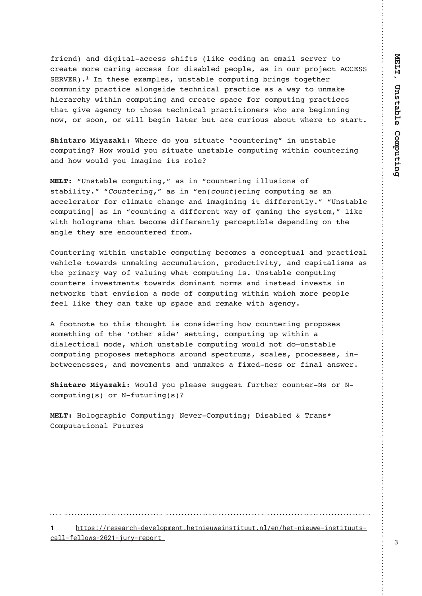/: 2.7-  $*7$ -  $-202 = *5$ , ... <<  $<12/=<$  524., 8-270  $*7$ .  $6*25$  <..; ?.; =8  $\ldots$  \*= 68;  $\ldots$  \*; 270 \*,  $\ldots$  << /8; -2< \*+5. - 9.895. \* < 27 8>; 9; 83. %% % \$(\$ 7 =1. <. .  $A^*$  695. <  $>7$ <= $*$  +5. , 869>=270 +; 270< =80. =1. ;  $,866>72=B\,9;*,=2,$   $*5870<2-.$  =  $,172,$   $*5\,9;$   $*$   $,=2,$   $*<$   $*$  @ B = 8 > 76  $*$  4. 12.;  $^*$ ;, 1B  $\circled{2}$ =127, 869>=270  $^*$ 7-,;  $^*$  = <9 $^*$ , . /8;, 869>=270 9; $^*$ , =2, .<  $=1*$  = 02?. \* 0.7, B = 8 = 18<. = . 172, \* 5 9; \*, = 2= 287. ; < @ 8 \*; . + . 0277270 78  $\circledcirc$  8; <887 8;  $\circledcirc$  55 + 027 5<sup>\*</sup> = ; +>= <sup>\*</sup>; ., >; 28>< <sup>\*</sup> +8>=  $\circledcirc$  .; . =8 <=\*; =

 $1.$ ;  $-8$  B8> <2=>\* = G, 8>7= .; 270H 27E>7<=\* +5.  $,869$   $= 270$ 8@  $\circledast$ >5- B8> <2=>\*=. E>7<=\*+5. , 869>=270E  $\circledast$ =127, 8>7=.; 270 \*7- 18@ @8>5- B8> 26\*027. 2=< :85.

G 7<=\*+5. , 869>=270 H \*< 27 G, 8>7=.; 270 255><287< 8/  $\leftarrow$  +252=B HEG  $\ldots$ ; 270 H  $^*$  < 27 G 7  $: 270$  , 869>=270  $^{\star}$  <  $^{\star}$ 7 \*, , . 5. ; \* =8; /8; , 526\* =. , 1\*70. \*7- 26\*027270 2= -2//.; . 7=5B H G 7<=\*+5. , 869>=270D \* < 27 G 8>7=270 \* -2//.; 7= @B 8/ 0\*6270 =1. <B<= 6 H 524.  $@=1$  18580;  $^*6<1^* = +$ , 86.  $-2//$ ; 7=5B 9.; 9=2+5. -.9.7-270 87 =1. \*705. = 1. B \*; . . 7, 8>7=.; . - /; 86 E

 $8 > 7 =$  : 270  $@=127$   $>7 < = 15.$   $869 > = 270 + 0.86 < 12.$  87.  $9 = > 5 5 7 - 9.1$ ,  $= 2.15$ ?. 12, 5. =8@; -< >76\*4270 \*,, >6>5\*=287 9; 8->, =2?2=B \*7-, \*92=\*52<6< \*<  $=1.$  9; 26\*; B @ B 8/ ?\* 5>270 @ \* = , 869>=270 2< '7<=\* +5. , 869>=270  $.8 > 7 =$ .  $\leq 27$ ?.  $\leq = 6.7 = \leq 80$ .  $\leq -8627$ \*7= 78.6 \cdots \* 7- 27 \cdots = \* - 27?. \cdots = 27 7.  $=$   $\circledast$ ; 4<  $= 1^*$  = . 7?2<287 \* 68-. 8/, 869>=270  $\circledast$  =127  $\circledast$  2, 1 68; 9.895.  $/-.5$  524. = 1. B,  $*7 = *4$ . > 9 < 9 $*$ ,  $*7 - ; .6 * 4$ .  $\mathcal{Q} = 1 * 0.7$ , B

 $/88=78=$ .  $=8$  =12< =18>01= 2< , 87<2-.; 270 18@, 8>7=.; 270 9; 898<. <  $<86. = 1270$  8/ =1.  $18=1$ ;  $<2 - 0$   $<=270$  ,  $869>=270$   $>9$   $@=127$  \*  $-2*5.$ , =2,  $*568 @2, 1 >7 \leq 1+5.$ , 869>=270  $@>5-78=$  -8F>7 $\leq 1+5.$  $,869$  = 270 9; 898<. < 6. =  $*918$ ; <  $*$ ; 8>7- < 9., =; >6< <,  $*$  5. < 9; 8, . <<. < 27 +.  $=$  @. 7. <<. < \*7- 68?. 6. 7 = < \*7- >76\*4. < \* /2A. - 7. << 8; /27\*5 \*7< @.;

 $8>5$ - B8> 95.\*<. < $>00$ . <=  $/$  >: =1.: . 8>7=.: !< 8: !  $,869$  > = 270 < 8; ! / > = >; 270 < E

 $8580;$  \* 912,  $869> = 270$  ! . ? .;  $869> = 270$  2 < \* +5. - &; \* 7 <  $869$ >=\* =287\*5 >=>; . <

## W COOKN COMPNO EM CL? @D@GIKH@ OEC@OID@PR@DINODOPPOEIGO@ CC@OLID@PR@LDINODOPPONL ><GG1A@GGJRN1XVXWtEPMT1M@KJMO